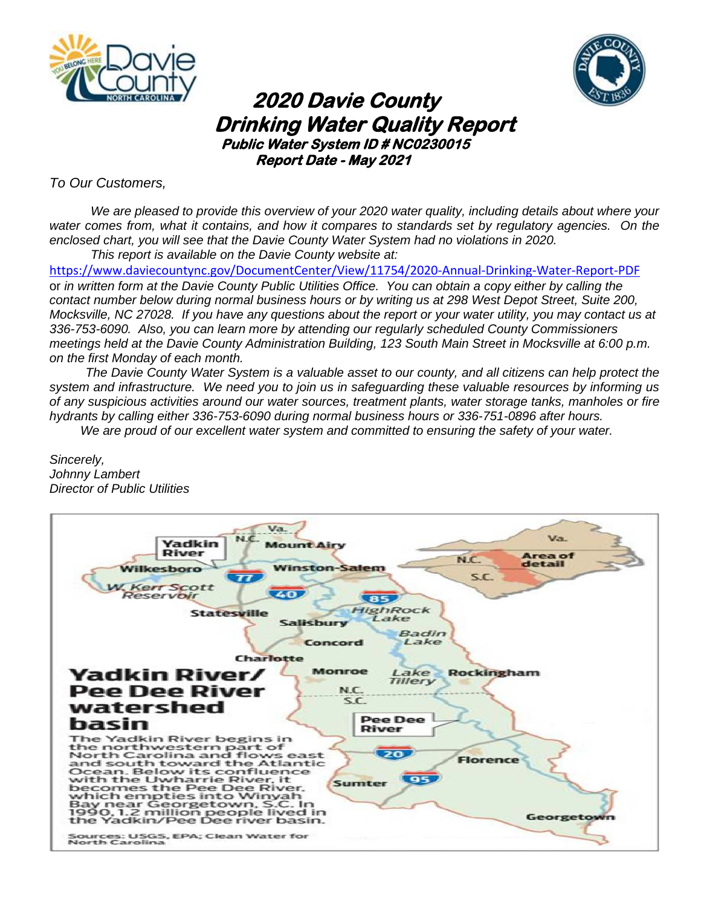



# **2020 Davie County** **Drinking Water Quality Report**<br>**Public Water System ID # NC0230015 Report Date - May 2021**

*To Our Customers,*

*We are pleased to provide this overview of your 2020 water quality, including details about where your water comes from, what it contains, and how it compares to standards set by regulatory agencies. On the enclosed chart, you will see that the Davie County Water System had no violations in 2020. This report is available on the Davie County website at:*

<https://www.daviecountync.gov/DocumentCenter/View/11754/2020-Annual-Drinking-Water-Report-PDF> or *in written form at the Davie County Public Utilities Office. You can obtain a copy either by calling the contact number below during normal business hours or by writing us at 298 West Depot Street, Suite 200, Mocksville, NC 27028. If you have any questions about the report or your water utility, you may contact us at 336-753-6090. Also, you can learn more by attending our regularly scheduled County Commissioners meetings held at the Davie County Administration Building, 123 South Main Street in Mocksville at 6:00 p.m. on the first Monday of each month.*

*The Davie County Water System is a valuable asset to our county, and all citizens can help protect the system and infrastructure. We need you to join us in safeguarding these valuable resources by informing us of any suspicious activities around our water sources, treatment plants, water storage tanks, manholes or fire hydrants by calling either 336-753-6090 during normal business hours or 336-751-0896 after hours.*

*We are proud of our excellent water system and committed to ensuring the safety of your water.*

*Sincerely, Johnny Lambert Director of Public Utilities*

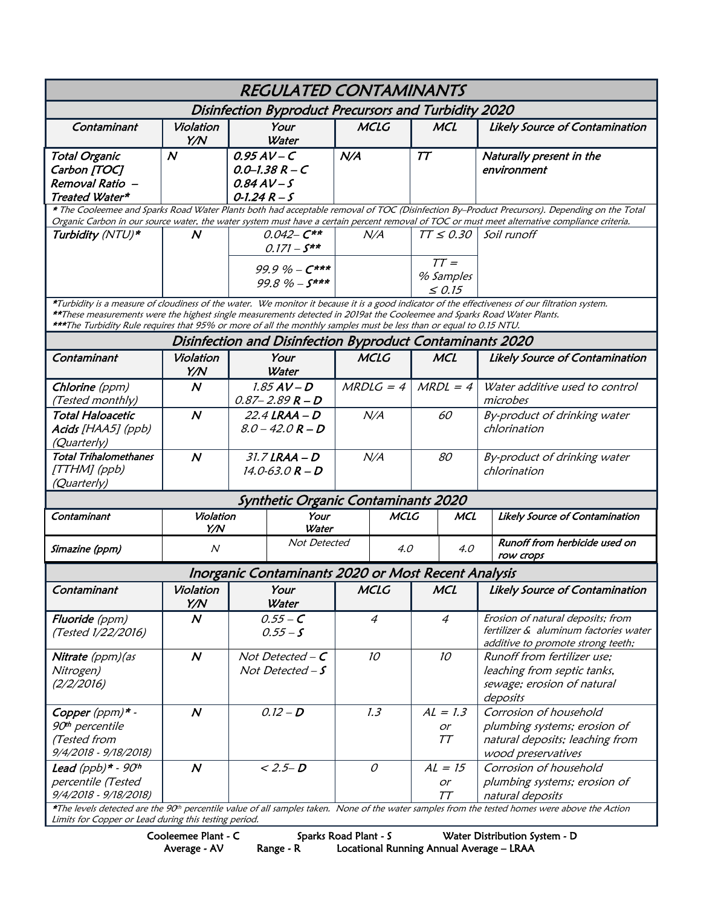| <b>REGULATED CONTAMINANTS</b>                                                                                                                                                                                                                                                                                                                                                                     |                  |                                                                          |                                                     |                 |             |                          |            |                                                                                                                                                            |  |  |  |
|---------------------------------------------------------------------------------------------------------------------------------------------------------------------------------------------------------------------------------------------------------------------------------------------------------------------------------------------------------------------------------------------------|------------------|--------------------------------------------------------------------------|-----------------------------------------------------|-----------------|-------------|--------------------------|------------|------------------------------------------------------------------------------------------------------------------------------------------------------------|--|--|--|
| Disinfection Byproduct Precursors and Turbidity 2020                                                                                                                                                                                                                                                                                                                                              |                  |                                                                          |                                                     |                 |             |                          |            |                                                                                                                                                            |  |  |  |
| Contaminant                                                                                                                                                                                                                                                                                                                                                                                       | Violation<br>Y/N | Your<br>Water                                                            |                                                     | <b>MCLG</b>     |             | <b>MCL</b>               |            | <b>Likely Source of Contamination</b>                                                                                                                      |  |  |  |
| <b>Total Organic</b>                                                                                                                                                                                                                                                                                                                                                                              | $\boldsymbol{N}$ | $0.95AV-C$                                                               |                                                     | N/A             |             | T T                      |            | Naturally present in the                                                                                                                                   |  |  |  |
| Carbon [TOC]                                                                                                                                                                                                                                                                                                                                                                                      |                  | $0.0 - 1.38 R - C$                                                       |                                                     |                 |             |                          |            | environment                                                                                                                                                |  |  |  |
| Removal Ratio -                                                                                                                                                                                                                                                                                                                                                                                   |                  | $0.84AV-S$                                                               |                                                     |                 |             |                          |            |                                                                                                                                                            |  |  |  |
| Treated Water*                                                                                                                                                                                                                                                                                                                                                                                    |                  | $0 - 1.24 R - S$                                                         |                                                     |                 |             |                          |            |                                                                                                                                                            |  |  |  |
| * The Cooleemee and Sparks Road Water Plants both had acceptable removal of TOC (Disinfection By-Product Precursors). Depending on the Total<br>Organic Carbon in our source water, the water system must have a certain percent removal of TOC or must meet alternative compliance criteria.                                                                                                     |                  |                                                                          |                                                     |                 |             |                          |            |                                                                                                                                                            |  |  |  |
| Turbidity (NTU)*                                                                                                                                                                                                                                                                                                                                                                                  | N                | $0.042 - C**$<br>$0.171 - S^{***}$<br>$99.9\% - C***$<br>$99.8\% - S***$ |                                                     | N/A             |             | $TT \leq 0.30$           |            | Soil runoff                                                                                                                                                |  |  |  |
|                                                                                                                                                                                                                                                                                                                                                                                                   |                  |                                                                          |                                                     |                 |             |                          |            |                                                                                                                                                            |  |  |  |
|                                                                                                                                                                                                                                                                                                                                                                                                   |                  |                                                                          |                                                     |                 | $TT =$      |                          |            |                                                                                                                                                            |  |  |  |
|                                                                                                                                                                                                                                                                                                                                                                                                   |                  |                                                                          |                                                     |                 |             | % Samples<br>$\leq 0.15$ |            |                                                                                                                                                            |  |  |  |
|                                                                                                                                                                                                                                                                                                                                                                                                   |                  |                                                                          |                                                     |                 |             |                          |            |                                                                                                                                                            |  |  |  |
| *Turbidity is a measure of cloudiness of the water. We monitor it because it is a good indicator of the effectiveness of our filtration system.<br>**These measurements were the highest single measurements detected in 2019at the Cooleemee and Sparks Road Water Plants.<br>***The Turbidity Rule requires that 95% or more of all the monthly samples must be less than or equal to 0.15 NTU. |                  |                                                                          |                                                     |                 |             |                          |            |                                                                                                                                                            |  |  |  |
| Disinfection and Disinfection Byproduct Contaminants 2020                                                                                                                                                                                                                                                                                                                                         |                  |                                                                          |                                                     |                 |             |                          |            |                                                                                                                                                            |  |  |  |
| Contaminant                                                                                                                                                                                                                                                                                                                                                                                       | Violation<br>Y/N | Your<br>Water                                                            |                                                     | <b>MCLG</b>     |             | <b>MCL</b>               |            | <b>Likely Source of Contamination</b>                                                                                                                      |  |  |  |
| Chlorine (ppm)                                                                                                                                                                                                                                                                                                                                                                                    | $\boldsymbol{N}$ | $1.85$ AV - D                                                            |                                                     | $MRDLG = 4$     |             | $MRDL = 4$               |            | Water additive used to control                                                                                                                             |  |  |  |
| (Tested monthly)                                                                                                                                                                                                                                                                                                                                                                                  |                  | $0.87 - 2.89 R - D$                                                      |                                                     |                 |             |                          |            | microbes                                                                                                                                                   |  |  |  |
| <b>Total Haloacetic</b>                                                                                                                                                                                                                                                                                                                                                                           | $\boldsymbol{N}$ | $22.4$ LRAA - D                                                          |                                                     | N/A             |             | 60                       |            | By-product of drinking water                                                                                                                               |  |  |  |
| Acids [HAA5] (ppb)                                                                                                                                                                                                                                                                                                                                                                                |                  |                                                                          | $8.0 - 42.0 R - D$                                  |                 |             |                          |            | chlorination                                                                                                                                               |  |  |  |
| (Quarterly)                                                                                                                                                                                                                                                                                                                                                                                       |                  |                                                                          |                                                     |                 |             |                          |            |                                                                                                                                                            |  |  |  |
| <b>Total Trihalomethanes</b>                                                                                                                                                                                                                                                                                                                                                                      | $\boldsymbol{N}$ | $31.7$ LRAA $-D$                                                         |                                                     |                 | N/A         | 80                       |            | By-product of drinking water                                                                                                                               |  |  |  |
| [TTHM] (ppb)                                                                                                                                                                                                                                                                                                                                                                                      |                  |                                                                          | $14.0 - 63.0 R - D$                                 |                 |             |                          |            | chlorination                                                                                                                                               |  |  |  |
| (Quarterly)                                                                                                                                                                                                                                                                                                                                                                                       |                  |                                                                          |                                                     |                 |             |                          |            |                                                                                                                                                            |  |  |  |
| Synthetic Organic Contaminants 2020                                                                                                                                                                                                                                                                                                                                                               |                  |                                                                          |                                                     |                 |             |                          |            |                                                                                                                                                            |  |  |  |
| Contaminant                                                                                                                                                                                                                                                                                                                                                                                       | Violation        |                                                                          | Your                                                |                 | <b>MCLG</b> |                          | <b>MCL</b> | Likely Source of Contamination                                                                                                                             |  |  |  |
|                                                                                                                                                                                                                                                                                                                                                                                                   | Y/N              |                                                                          | Water                                               |                 |             |                          |            |                                                                                                                                                            |  |  |  |
|                                                                                                                                                                                                                                                                                                                                                                                                   | $\boldsymbol{N}$ |                                                                          | Not Detected                                        |                 |             | 4.0                      |            | Runoff from herbicide used on                                                                                                                              |  |  |  |
| Simazine (ppm)                                                                                                                                                                                                                                                                                                                                                                                    | 4.0<br>row crops |                                                                          |                                                     |                 |             |                          |            |                                                                                                                                                            |  |  |  |
|                                                                                                                                                                                                                                                                                                                                                                                                   |                  |                                                                          | Inorganic Contaminants 2020 or Most Recent Analysis |                 |             |                          |            |                                                                                                                                                            |  |  |  |
| C <i>ontaminant</i>                                                                                                                                                                                                                                                                                                                                                                               | Violation<br>Y/N |                                                                          | Your<br>Water                                       |                 | <b>MCLG</b> |                          | <b>MCL</b> | Likely Source of Contamination                                                                                                                             |  |  |  |
| Fluoride (ppm)                                                                                                                                                                                                                                                                                                                                                                                    | $\boldsymbol{N}$ | $0.55 - C$                                                               |                                                     | 4               |             | $\overline{4}$           |            | Erosion of natural deposits; from                                                                                                                          |  |  |  |
| (Tested 1/22/2016)                                                                                                                                                                                                                                                                                                                                                                                |                  |                                                                          | $0.55 - S$                                          |                 |             |                          |            | fertilizer & aluminum factories water                                                                                                                      |  |  |  |
|                                                                                                                                                                                                                                                                                                                                                                                                   |                  |                                                                          |                                                     |                 |             |                          |            | additive to promote strong teeth;                                                                                                                          |  |  |  |
| Nitrate (ppm) (as                                                                                                                                                                                                                                                                                                                                                                                 | $\boldsymbol{N}$ | Not Detected $-C$                                                        |                                                     | 10 <sup>°</sup> |             | 10 <sup>°</sup>          |            | Runoff from fertilizer use;                                                                                                                                |  |  |  |
| Nitrogen)                                                                                                                                                                                                                                                                                                                                                                                         |                  | Not Detected $-S$                                                        |                                                     |                 |             |                          |            | leaching from septic tanks,                                                                                                                                |  |  |  |
| (2/2/2016)                                                                                                                                                                                                                                                                                                                                                                                        |                  |                                                                          |                                                     |                 |             |                          |            | sewage; erosion of natural                                                                                                                                 |  |  |  |
|                                                                                                                                                                                                                                                                                                                                                                                                   |                  |                                                                          |                                                     |                 |             |                          |            | deposits                                                                                                                                                   |  |  |  |
| Copper (ppm)* -                                                                                                                                                                                                                                                                                                                                                                                   | $\boldsymbol{N}$ | $0.12 - D$                                                               |                                                     | 1.3             |             | $AL = 1.3$               |            | Corrosion of household                                                                                                                                     |  |  |  |
| 90 <sup>th</sup> percentile                                                                                                                                                                                                                                                                                                                                                                       |                  |                                                                          |                                                     |                 |             | or                       |            | plumbing systems; erosion of                                                                                                                               |  |  |  |
| (Tested from                                                                                                                                                                                                                                                                                                                                                                                      |                  |                                                                          |                                                     |                 |             | TT                       |            | natural deposits; leaching from                                                                                                                            |  |  |  |
| 9/4/2018 - 9/18/2018)                                                                                                                                                                                                                                                                                                                                                                             |                  |                                                                          |                                                     |                 |             |                          |            | wood preservatives                                                                                                                                         |  |  |  |
| Lead (ppb) $*$ - 90 <sup>th</sup>                                                                                                                                                                                                                                                                                                                                                                 | $\boldsymbol{N}$ | $< 2.5 - D$                                                              |                                                     | $\cal O$        |             | $AL = 15$                |            | Corrosion of household                                                                                                                                     |  |  |  |
| percentile (Tested                                                                                                                                                                                                                                                                                                                                                                                |                  |                                                                          |                                                     |                 |             | or                       |            | plumbing systems; erosion of                                                                                                                               |  |  |  |
| 9/4/2018 - 9/18/2018)                                                                                                                                                                                                                                                                                                                                                                             |                  |                                                                          |                                                     |                 |             | TΤ                       |            | natural deposits                                                                                                                                           |  |  |  |
| Limits for Copper or Lead during this testing period.                                                                                                                                                                                                                                                                                                                                             |                  |                                                                          |                                                     |                 |             |                          |            | *The levels detected are the 90 <sup>th</sup> percentile value of all samples taken. None of the water samples from the tested homes were above the Action |  |  |  |

Limits for Copper or Lead during this testing period.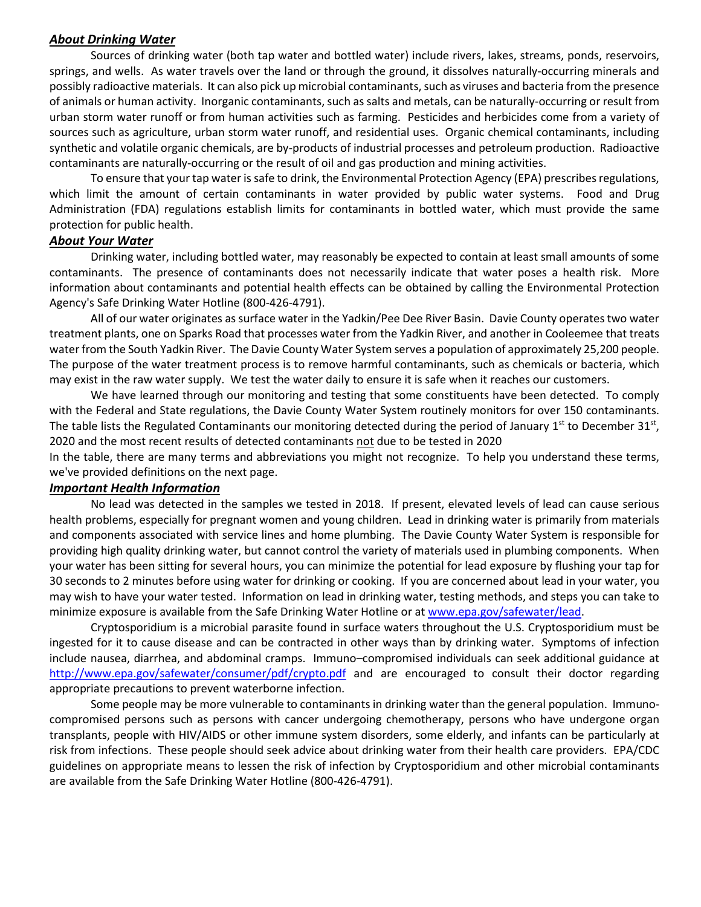#### *About Drinking Water*

Sources of drinking water (both tap water and bottled water) include rivers, lakes, streams, ponds, reservoirs, springs, and wells. As water travels over the land or through the ground, it dissolves naturally-occurring minerals and possibly radioactive materials. It can also pick up microbial contaminants, such as viruses and bacteria from the presence of animals or human activity. Inorganic contaminants, such as salts and metals, can be naturally-occurring or result from urban storm water runoff or from human activities such as farming. Pesticides and herbicides come from a variety of sources such as agriculture, urban storm water runoff, and residential uses. Organic chemical contaminants, including synthetic and volatile organic chemicals, are by-products of industrial processes and petroleum production. Radioactive contaminants are naturally-occurring or the result of oil and gas production and mining activities.

To ensure that your tap water is safe to drink, the Environmental Protection Agency (EPA) prescribes regulations, which limit the amount of certain contaminants in water provided by public water systems. Food and Drug Administration (FDA) regulations establish limits for contaminants in bottled water, which must provide the same protection for public health.

#### *About Your Water*

Drinking water, including bottled water, may reasonably be expected to contain at least small amounts of some contaminants. The presence of contaminants does not necessarily indicate that water poses a health risk. More information about contaminants and potential health effects can be obtained by calling the Environmental Protection Agency's Safe Drinking Water Hotline (800-426-4791).

All of our water originates as surface water in the Yadkin/Pee Dee River Basin. Davie County operates two water treatment plants, one on Sparks Road that processes water from the Yadkin River, and another in Cooleemee that treats water from the South Yadkin River. The Davie County Water System serves a population of approximately 25,200 people. The purpose of the water treatment process is to remove harmful contaminants, such as chemicals or bacteria, which may exist in the raw water supply. We test the water daily to ensure it is safe when it reaches our customers.

We have learned through our monitoring and testing that some constituents have been detected. To comply with the Federal and State regulations, the Davie County Water System routinely monitors for over 150 contaminants. The table lists the Regulated Contaminants our monitoring detected during the period of January 1st to December 31st, 2020 and the most recent results of detected contaminants not due to be tested in 2020

In the table, there are many terms and abbreviations you might not recognize. To help you understand these terms, we've provided definitions on the next page.

#### *Important Health Information*

No lead was detected in the samples we tested in 2018. If present, elevated levels of lead can cause serious health problems, especially for pregnant women and young children. Lead in drinking water is primarily from materials and components associated with service lines and home plumbing. The Davie County Water System is responsible for providing high quality drinking water, but cannot control the variety of materials used in plumbing components. When your water has been sitting for several hours, you can minimize the potential for lead exposure by flushing your tap for 30 seconds to 2 minutes before using water for drinking or cooking. If you are concerned about lead in your water, you may wish to have your water tested. Information on lead in drinking water, testing methods, and steps you can take to minimize exposure is available from the Safe Drinking Water Hotline or at www.epa.gov/safewater/lead.

Cryptosporidium is a microbial parasite found in surface waters throughout the U.S. Cryptosporidium must be ingested for it to cause disease and can be contracted in other ways than by drinking water. Symptoms of infection include nausea, diarrhea, and abdominal cramps. Immuno–compromised individuals can seek additional guidance at <http://www.epa.gov/safewater/consumer/pdf/crypto.pdf> and are encouraged to consult their doctor regarding appropriate precautions to prevent waterborne infection.

Some people may be more vulnerable to contaminants in drinking water than the general population. Immunocompromised persons such as persons with cancer undergoing chemotherapy, persons who have undergone organ transplants, people with HIV/AIDS or other immune system disorders, some elderly, and infants can be particularly at risk from infections. These people should seek advice about drinking water from their health care providers. EPA/CDC guidelines on appropriate means to lessen the risk of infection by Cryptosporidium and other microbial contaminants are available from the Safe Drinking Water Hotline (800-426-4791).